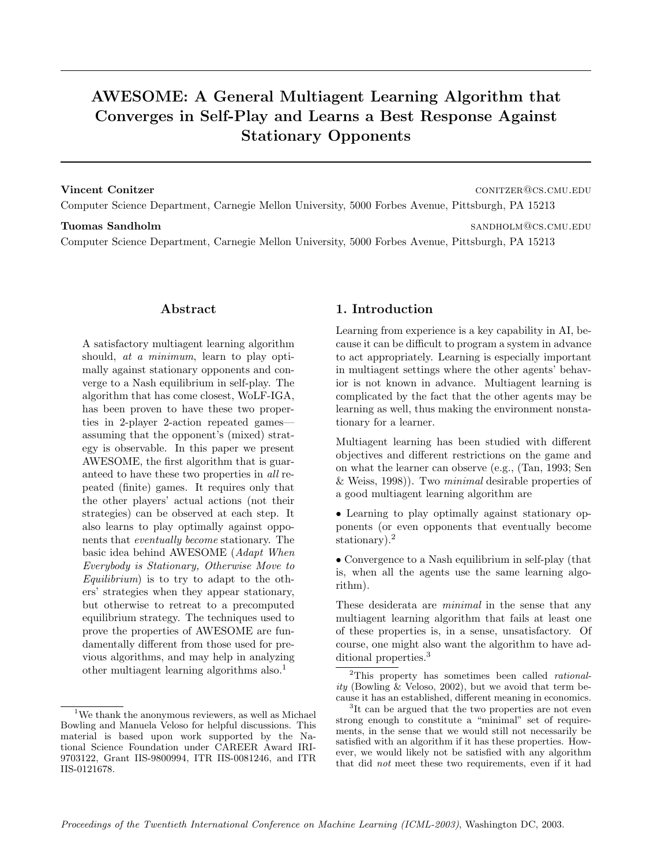# **AWESOME: A General Multiagent Learning Algorithm that Converges in Self-Play and Learns a Best Response Against Stationary Opponents**

**Vincent Conitzer** contract contract contract contract contract contract contract contract contract contract contract contract contract contract contract contract contract contract contract contract contract contract contr Computer Science Department, Carnegie Mellon University, 5000 Forbes Avenue, Pittsburgh, PA 15213

#### **Tuomas Sandholm** sandholm sandholm sandholm sandholm sandholm sandholm sandholm sandholm sandholm sandholm sandholm sandholm sandholm sandholm sandholm sandholm sandholm sandholm sandholm sandholm sandholm sandholm sandho

Computer Science Department, Carnegie Mellon University, 5000 Forbes Avenue, Pittsburgh, PA 15213

#### **Abstract**

A satisfactory multiagent learning algorithm should, *at a minimum*, learn to play optimally against stationary opponents and converge to a Nash equilibrium in self-play. The algorithm that has come closest, WoLF-IGA, has been proven to have these two properties in 2-player 2-action repeated games assuming that the opponent's (mixed) strategy is observable. In this paper we present AWESOME, the first algorithm that is guaranteed to have these two properties in all repeated (finite) games. It requires only that the other players' actual actions (not their strategies) can be observed at each step. It also learns to play optimally against opponents that eventually become stationary. The basic idea behind AWESOME (Adapt When Everybody is Stationary, Otherwise Move to Equilibrium) is to try to adapt to the others' strategies when they appear stationary, but otherwise to retreat to a precomputed equilibrium strategy. The techniques used to prove the properties of AWESOME are fundamentally different from those used for previous algorithms, and may help in analyzing other multiagent learning algorithms also.<sup>1</sup>

#### **1. Introduction**

Learning from experience is a key capability in AI, because it can be difficult to program a system in advance to act appropriately. Learning is especially important in multiagent settings where the other agents' behavior is not known in advance. Multiagent learning is complicated by the fact that the other agents may be learning as well, thus making the environment nonstationary for a learner.

Multiagent learning has been studied with different objectives and different restrictions on the game and on what the learner can observe (e.g., (Tan, 1993; Sen & Weiss, 1998)). Two minimal desirable properties of a good multiagent learning algorithm are

• Learning to play optimally against stationary opponents (or even opponents that eventually become stationary).<sup>2</sup>

• Convergence to a Nash equilibrium in self-play (that is, when all the agents use the same learning algorithm).

These desiderata are *minimal* in the sense that any multiagent learning algorithm that fails at least one of these properties is, in a sense, unsatisfactory. Of course, one might also want the algorithm to have additional properties.<sup>3</sup>

<sup>&</sup>lt;sup>1</sup>We thank the anonymous reviewers, as well as Michael Bowling and Manuela Veloso for helpful discussions. This material is based upon work supported by the National Science Foundation under CAREER Award IRI-9703122, Grant IIS-9800994, ITR IIS-0081246, and ITR IIS-0121678.

 ${}^{2}$ This property has sometimes been called *rational*ity (Bowling & Veloso, 2002), but we avoid that term because it has an established, different meaning in economics.

<sup>&</sup>lt;sup>3</sup>It can be argued that the two properties are not even strong enough to constitute a "minimal" set of requirements, in the sense that we would still not necessarily be satisfied with an algorithm if it has these properties. However, we would likely not be satisfied with any algorithm that did not meet these two requirements, even if it had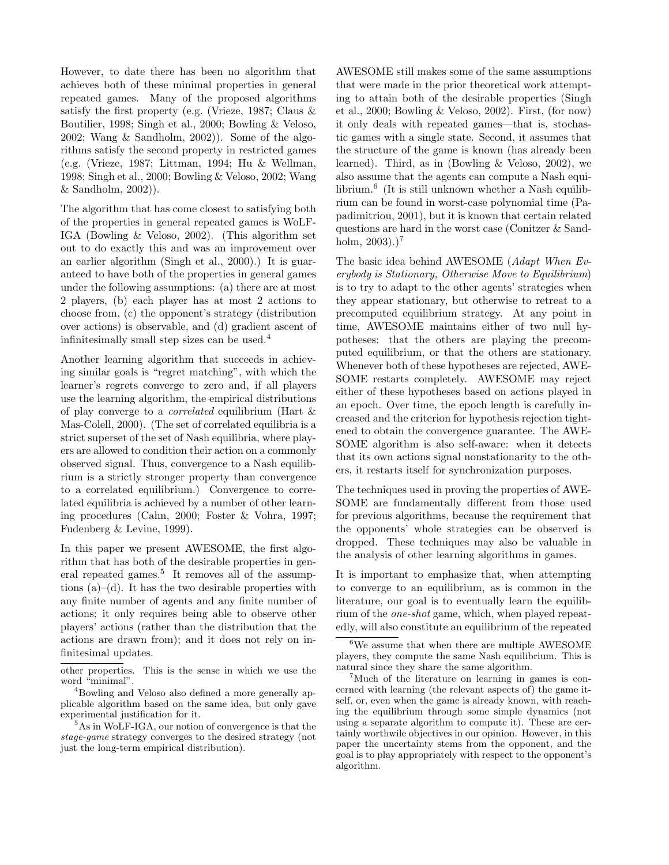However, to date there has been no algorithm that achieves both of these minimal properties in general repeated games. Many of the proposed algorithms satisfy the first property (e.g. (Vrieze, 1987; Claus & Boutilier, 1998; Singh et al., 2000; Bowling & Veloso, 2002; Wang & Sandholm, 2002)). Some of the algorithms satisfy the second property in restricted games (e.g. (Vrieze, 1987; Littman, 1994; Hu & Wellman, 1998; Singh et al., 2000; Bowling & Veloso, 2002; Wang & Sandholm, 2002)).

The algorithm that has come closest to satisfying both of the properties in general repeated games is WoLF-IGA (Bowling & Veloso, 2002). (This algorithm set out to do exactly this and was an improvement over an earlier algorithm (Singh et al., 2000).) It is guaranteed to have both of the properties in general games under the following assumptions: (a) there are at most 2 players, (b) each player has at most 2 actions to choose from, (c) the opponent's strategy (distribution over actions) is observable, and (d) gradient ascent of infinitesimally small step sizes can be used.<sup>4</sup>

Another learning algorithm that succeeds in achieving similar goals is "regret matching", with which the learner's regrets converge to zero and, if all players use the learning algorithm, the empirical distributions of play converge to a correlated equilibrium (Hart & Mas-Colell, 2000). (The set of correlated equilibria is a strict superset of the set of Nash equilibria, where players are allowed to condition their action on a commonly observed signal. Thus, convergence to a Nash equilibrium is a strictly stronger property than convergence to a correlated equilibrium.) Convergence to correlated equilibria is achieved by a number of other learning procedures (Cahn, 2000; Foster & Vohra, 1997; Fudenberg & Levine, 1999).

In this paper we present AWESOME, the first algorithm that has both of the desirable properties in general repeated games.<sup>5</sup> It removes all of the assumptions  $(a)$ –(d). It has the two desirable properties with any finite number of agents and any finite number of actions; it only requires being able to observe other players' actions (rather than the distribution that the actions are drawn from); and it does not rely on infinitesimal updates.

AWESOME still makes some of the same assumptions that were made in the prior theoretical work attempting to attain both of the desirable properties (Singh et al., 2000; Bowling & Veloso, 2002). First, (for now) it only deals with repeated games—that is, stochastic games with a single state. Second, it assumes that the structure of the game is known (has already been learned). Third, as in (Bowling & Veloso, 2002), we also assume that the agents can compute a Nash equilibrium.<sup>6</sup> (It is still unknown whether a Nash equilibrium can be found in worst-case polynomial time (Papadimitriou, 2001), but it is known that certain related questions are hard in the worst case (Conitzer & Sandholm,  $2003$ ).)<sup>7</sup>

The basic idea behind AWESOME (Adapt When Everybody is Stationary, Otherwise Move to Equilibrium) is to try to adapt to the other agents' strategies when they appear stationary, but otherwise to retreat to a precomputed equilibrium strategy. At any point in time, AWESOME maintains either of two null hypotheses: that the others are playing the precomputed equilibrium, or that the others are stationary. Whenever both of these hypotheses are rejected, AWE-SOME restarts completely. AWESOME may reject either of these hypotheses based on actions played in an epoch. Over time, the epoch length is carefully increased and the criterion for hypothesis rejection tightened to obtain the convergence guarantee. The AWE-SOME algorithm is also self-aware: when it detects that its own actions signal nonstationarity to the others, it restarts itself for synchronization purposes.

The techniques used in proving the properties of AWE-SOME are fundamentally different from those used for previous algorithms, because the requirement that the opponents' whole strategies can be observed is dropped. These techniques may also be valuable in the analysis of other learning algorithms in games.

It is important to emphasize that, when attempting to converge to an equilibrium, as is common in the literature, our goal is to eventually learn the equilibrium of the one-shot game, which, when played repeatedly, will also constitute an equilibrium of the repeated

other properties. This is the sense in which we use the word "minimal".

<sup>4</sup>Bowling and Veloso also defined a more generally applicable algorithm based on the same idea, but only gave experimental justification for it.

<sup>5</sup>As in WoLF-IGA, our notion of convergence is that the stage-game strategy converges to the desired strategy (not just the long-term empirical distribution).

 $^6\rm{We}$  assume that when there are multiple AWESOME players, they compute the same Nash equilibrium. This is natural since they share the same algorithm.

<sup>7</sup>Much of the literature on learning in games is concerned with learning (the relevant aspects of) the game itself, or, even when the game is already known, with reaching the equilibrium through some simple dynamics (not using a separate algorithm to compute it). These are certainly worthwile objectives in our opinion. However, in this paper the uncertainty stems from the opponent, and the goal is to play appropriately with respect to the opponent's algorithm.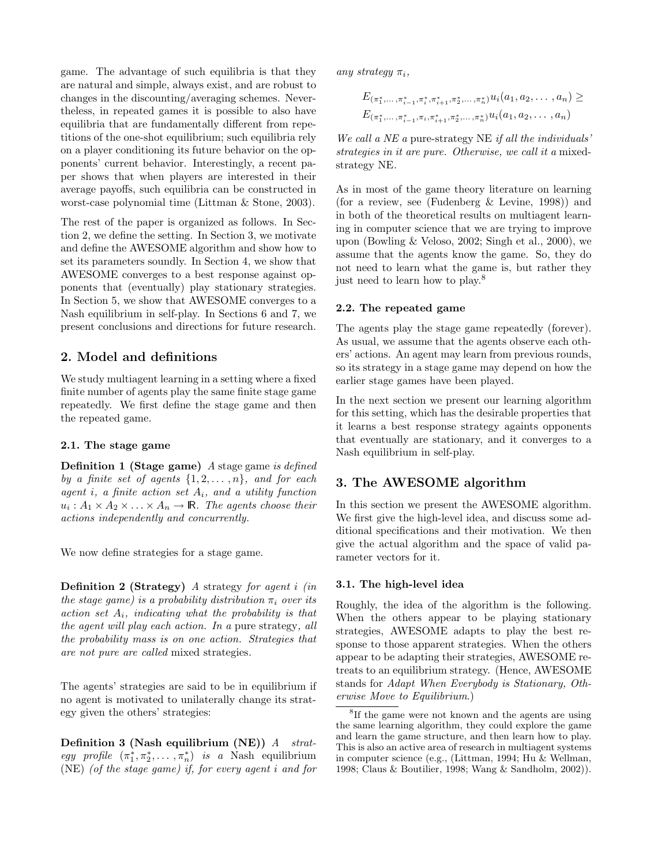game. The advantage of such equilibria is that they are natural and simple, always exist, and are robust to changes in the discounting/averaging schemes. Nevertheless, in repeated games it is possible to also have equilibria that are fundamentally different from repetitions of the one-shot equilibrium; such equilibria rely on a player conditioning its future behavior on the opponents' current behavior. Interestingly, a recent paper shows that when players are interested in their average payoffs, such equilibria can be constructed in worst-case polynomial time (Littman & Stone, 2003).

The rest of the paper is organized as follows. In Section 2, we define the setting. In Section 3, we motivate and define the AWESOME algorithm and show how to set its parameters soundly. In Section 4, we show that AWESOME converges to a best response against opponents that (eventually) play stationary strategies. In Section 5, we show that AWESOME converges to a Nash equilibrium in self-play. In Sections 6 and 7, we present conclusions and directions for future research.

## **2. Model and definitions**

We study multiagent learning in a setting where a fixed finite number of agents play the same finite stage game repeatedly. We first define the stage game and then the repeated game.

#### **2.1. The stage game**

**Definition 1 (Stage game)** A stage game is defined by a finite set of agents  $\{1, 2, \ldots, n\}$ , and for each agent i, a finite action set  $A_i$ , and a utility function  $u_i : A_1 \times A_2 \times \ldots \times A_n \to \mathbb{R}$ . The agents choose their actions independently and concurrently.

We now define strategies for a stage game.

**Definition 2 (Strategy)** A strategy for agent i (in the stage game) is a probability distribution  $\pi_i$  over its action set  $A_i$ , indicating what the probability is that the agent will play each action. In a pure strategy, all the probability mass is on one action. Strategies that are not pure are called mixed strategies.

The agents' strategies are said to be in equilibrium if no agent is motivated to unilaterally change its strategy given the others' strategies:

**Definition 3 (Nash equilibrium (NE))** A strategy profile  $(\pi_1^*, \pi_2^*, \dots, \pi_n^*)$  is a Nash equilibrium (NE) (of the stage game) if, for every agent i and for any strategy  $\pi_i$ ,

$$
E_{(\pi_1^*,...,\pi_{i-1}^*,\pi_i^*,\pi_{i+1}^*,\pi_2^*,...,\pi_n^*)} u_i(a_1, a_2,..., a_n) \ge
$$
  

$$
E_{(\pi_1^*,...,\pi_{i-1}^*,\pi_i,\pi_{i+1}^*,\pi_2^*,...,\pi_n^*)} u_i(a_1, a_2,..., a_n)
$$

We call a NE a pure-strategy NE if all the individuals' strategies in it are pure. Otherwise, we call it a mixedstrategy NE.

As in most of the game theory literature on learning (for a review, see (Fudenberg & Levine, 1998)) and in both of the theoretical results on multiagent learning in computer science that we are trying to improve upon (Bowling & Veloso, 2002; Singh et al., 2000), we assume that the agents know the game. So, they do not need to learn what the game is, but rather they just need to learn how to play.<sup>8</sup>

#### **2.2. The repeated game**

The agents play the stage game repeatedly (forever). As usual, we assume that the agents observe each others' actions. An agent may learn from previous rounds, so its strategy in a stage game may depend on how the earlier stage games have been played.

In the next section we present our learning algorithm for this setting, which has the desirable properties that it learns a best response strategy againts opponents that eventually are stationary, and it converges to a Nash equilibrium in self-play.

### **3. The AWESOME algorithm**

In this section we present the AWESOME algorithm. We first give the high-level idea, and discuss some additional specifications and their motivation. We then give the actual algorithm and the space of valid parameter vectors for it.

#### **3.1. The high-level idea**

Roughly, the idea of the algorithm is the following. When the others appear to be playing stationary strategies, AWESOME adapts to play the best response to those apparent strategies. When the others appear to be adapting their strategies, AWESOME retreats to an equilibrium strategy. (Hence, AWESOME stands for Adapt When Everybody is Stationary, Otherwise Move to Equilibrium.)

<sup>&</sup>lt;sup>8</sup>If the game were not known and the agents are using the same learning algorithm, they could explore the game and learn the game structure, and then learn how to play. This is also an active area of research in multiagent systems in computer science (e.g., (Littman, 1994; Hu & Wellman, 1998; Claus & Boutilier, 1998; Wang & Sandholm, 2002)).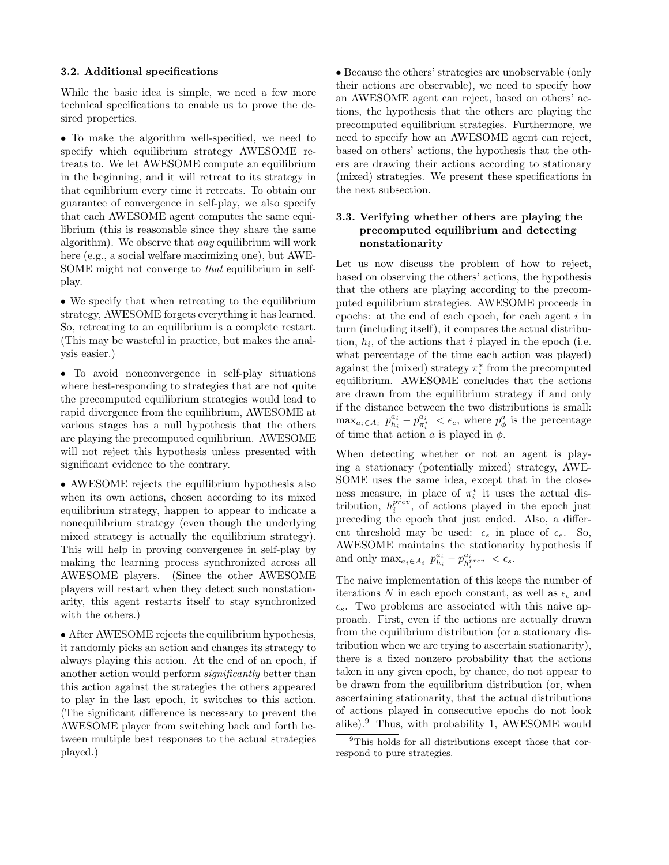#### **3.2. Additional specifications**

While the basic idea is simple, we need a few more technical specifications to enable us to prove the desired properties.

• To make the algorithm well-specified, we need to specify which equilibrium strategy AWESOME retreats to. We let AWESOME compute an equilibrium in the beginning, and it will retreat to its strategy in that equilibrium every time it retreats. To obtain our guarantee of convergence in self-play, we also specify that each AWESOME agent computes the same equilibrium (this is reasonable since they share the same algorithm). We observe that any equilibrium will work here (e.g., a social welfare maximizing one), but AWE-SOME might not converge to that equilibrium in selfplay.

• We specify that when retreating to the equilibrium strategy, AWESOME forgets everything it has learned. So, retreating to an equilibrium is a complete restart. (This may be wasteful in practice, but makes the analysis easier.)

• To avoid nonconvergence in self-play situations where best-responding to strategies that are not quite the precomputed equilibrium strategies would lead to rapid divergence from the equilibrium, AWESOME at various stages has a null hypothesis that the others are playing the precomputed equilibrium. AWESOME will not reject this hypothesis unless presented with significant evidence to the contrary.

• AWESOME rejects the equilibrium hypothesis also when its own actions, chosen according to its mixed equilibrium strategy, happen to appear to indicate a nonequilibrium strategy (even though the underlying mixed strategy is actually the equilibrium strategy). This will help in proving convergence in self-play by making the learning process synchronized across all AWESOME players. (Since the other AWESOME players will restart when they detect such nonstationarity, this agent restarts itself to stay synchronized with the others.)

• After AWESOME rejects the equilibrium hypothesis, it randomly picks an action and changes its strategy to always playing this action. At the end of an epoch, if another action would perform significantly better than this action against the strategies the others appeared to play in the last epoch, it switches to this action. (The significant difference is necessary to prevent the AWESOME player from switching back and forth between multiple best responses to the actual strategies played.)

• Because the others' strategies are unobservable (only their actions are observable), we need to specify how an AWESOME agent can reject, based on others' actions, the hypothesis that the others are playing the precomputed equilibrium strategies. Furthermore, we need to specify how an AWESOME agent can reject, based on others' actions, the hypothesis that the others are drawing their actions according to stationary (mixed) strategies. We present these specifications in the next subsection.

### **3.3. Verifying whether others are playing the precomputed equilibrium and detecting nonstationarity**

Let us now discuss the problem of how to reject, based on observing the others' actions, the hypothesis that the others are playing according to the precomputed equilibrium strategies. AWESOME proceeds in epochs: at the end of each epoch, for each agent  $i$  in turn (including itself), it compares the actual distribution,  $h_i$ , of the actions that i played in the epoch (i.e. what percentage of the time each action was played) against the (mixed) strategy  $\pi_i^*$  from the precomputed equilibrium. AWESOME concludes that the actions are drawn from the equilibrium strategy if and only if the distance between the two distributions is small:  $\max_{a_i \in A_i} |p_{h_i}^{a_i} - p_{\pi_i^*}^{a_i}| < \epsilon_e$ , where  $p_{\phi}^a$  is the percentage of time that action a is played in  $\phi$ .

When detecting whether or not an agent is playing a stationary (potentially mixed) strategy, AWE-SOME uses the same idea, except that in the closeness measure, in place of  $\pi_i^*$  it uses the actual distribution,  $h_i^{prev}$ , of actions played in the epoch just preceding the epoch that just ended. Also, a different threshold may be used:  $\epsilon_s$  in place of  $\epsilon_e$ . So, AWESOME maintains the stationarity hypothesis if and only  $\max_{a_i \in A_i} |p_{h_i}^{a_i} - p_{h_i^{prev}}^{a_i} | < \epsilon_s$ .

The naive implementation of this keeps the number of iterations N in each epoch constant, as well as  $\epsilon_e$  and  $\epsilon_s$ . Two problems are associated with this naive approach. First, even if the actions are actually drawn from the equilibrium distribution (or a stationary distribution when we are trying to ascertain stationarity), there is a fixed nonzero probability that the actions taken in any given epoch, by chance, do not appear to be drawn from the equilibrium distribution (or, when ascertaining stationarity, that the actual distributions of actions played in consecutive epochs do not look alike).<sup>9</sup> Thus, with probability 1, AWESOME would

<sup>9</sup>This holds for all distributions except those that correspond to pure strategies.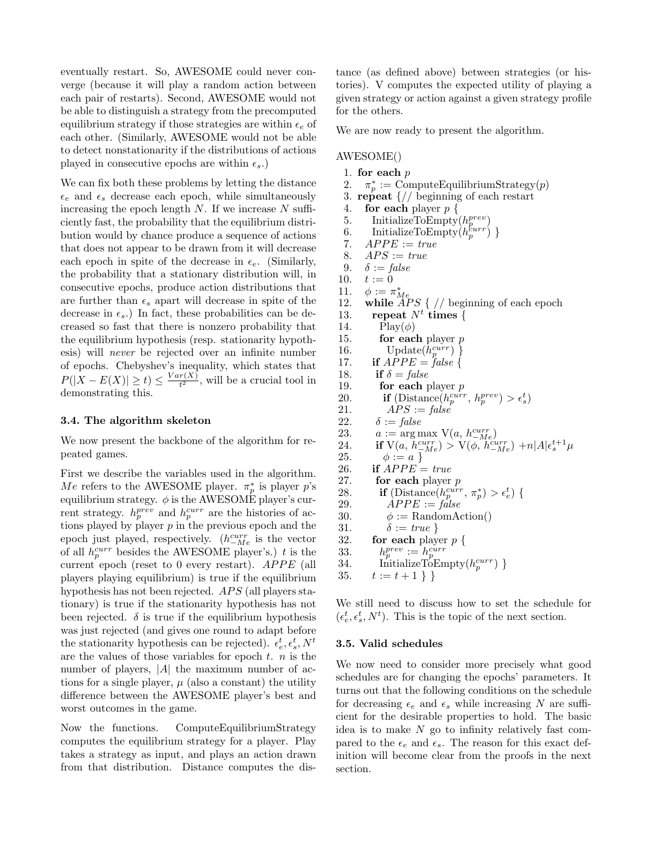eventually restart. So, AWESOME could never converge (because it will play a random action between each pair of restarts). Second, AWESOME would not be able to distinguish a strategy from the precomputed equilibrium strategy if those strategies are within  $\epsilon_e$  of each other. (Similarly, AWESOME would not be able to detect nonstationarity if the distributions of actions played in consecutive epochs are within  $\epsilon_s$ .

We can fix both these problems by letting the distance  $\epsilon_e$  and  $\epsilon_s$  decrease each epoch, while simultaneously increasing the epoch length  $N$ . If we increase  $N$  sufficiently fast, the probability that the equilibrium distribution would by chance produce a sequence of actions that does not appear to be drawn from it will decrease each epoch in spite of the decrease in  $\epsilon_e$ . (Similarly, the probability that a stationary distribution will, in consecutive epochs, produce action distributions that are further than  $\epsilon_s$  apart will decrease in spite of the decrease in  $\epsilon_s$ .) In fact, these probabilities can be decreased so fast that there is nonzero probability that the equilibrium hypothesis (resp. stationarity hypothesis) will never be rejected over an infinite number of epochs. Chebyshev's inequality, which states that  $P(|X - E(X)| \ge t) \le \frac{Var(X)}{t^2}$ , will be a crucial tool in demonstrating this.

#### **3.4. The algorithm skeleton**

We now present the backbone of the algorithm for repeated games.

First we describe the variables used in the algorithm. Me refers to the AWESOME player.  $\pi_p^*$  is player p's equilibrium strategy.  $\phi$  is the AWESOME player's current strategy.  $h_p^{prev}$  and  $h_p^{curr}$  are the histories of actions played by player  $p$  in the previous epoch and the epoch just played, respectively.  $(h_{-Me}^{curr}$  is the vector of all  $h_p^{curr}$  besides the AWESOME player's.) t is the current epoch (reset to  $0$  every restart).  $APPE$  (all players playing equilibrium) is true if the equilibrium hypothesis has not been rejected.  $APS$  (all players stationary) is true if the stationarity hypothesis has not been rejected.  $\delta$  is true if the equilibrium hypothesis was just rejected (and gives one round to adapt before the stationarity hypothesis can be rejected).  $\epsilon_e^t, \epsilon_s^t, N^t$ are the values of those variables for epoch  $t$ .  $n$  is the number of players, |A| the maximum number of actions for a single player,  $\mu$  (also a constant) the utility difference between the AWESOME player's best and worst outcomes in the game.

Now the functions. ComputeEquilibriumStrategy computes the equilibrium strategy for a player. Play takes a strategy as input, and plays an action drawn from that distribution. Distance computes the distance (as defined above) between strategies (or histories). V computes the expected utility of playing a given strategy or action against a given strategy profile for the others.

We are now ready to present the algorithm.

#### AWESOME()

- 1. **for each** p
- 2.  $\pi_p^* := \text{ComputeEquilibriumStrategy}(p)$
- 3. **repeat** {// beginning of each restart
- 4. **for each** player p {
- 5. InitializeToEmpty $(h_p^{prev})$
- 6. InitializeToEmpty $(h_p^{curr})$ }
- 7.  $APPE := true$
- 8.  $APS := true$
- 9.  $\delta := \text{false}$
- 10.  $t := 0$
- 
- 11.  $\phi := \pi_{Me}^*$ <br>12. **while** *APS* { // beginning of each epoch
- 13. **repeat**  $N^t$  **times**  $\{$
- 14.  $\text{Play}(\phi)$ 15. **for each** player p 16. Update $(h_p^{curr})$ } 17. **if**  $APPE = false$
- 18. **if**  $\delta = false$
- 19. **for each** player p
- 20. **if** (Distance( $h_p^{curr}, h_p^{prev}$ ) >  $\epsilon_s^t$ )
- 21.  $APS := false$ 22.  $\delta := \text{false}$
- 23.  $a := \arg \max_{\{N(a, h_{-M_e}^{curr})\}}$
- 24. **if**  $V(a, h_{-Me}^{curr}) > V(\phi, h_{-Me}^{curr}) + n|A|\epsilon_s^{t+1}\mu$
- 25.  $\phi := a$ } 26. **if**  $APPE = true$
- 27. **for each** player p
- 28. **if** (Distance( $h_p^{curr}, \pi_p^*$ ) >  $\epsilon_e^t$ ) {
- 29.  $APPE := false$ 30.  $\phi := \text{RandomAction}()$
- 31.  $\delta := true$  }<br>32. **for each** play
- for each player  $p \{$
- 33.  $h_p^{prev} := h_p^{curr}$ <br>
34. InitializeToEmpty $(h_p^{curr})$ }
- 
- 35.  $t := t + 1$  }

We still need to discuss how to set the schedule for  $(\epsilon_e^t, \epsilon_s^t, N^t)$ . This is the topic of the next section.

#### **3.5. Valid schedules**

We now need to consider more precisely what good schedules are for changing the epochs' parameters. It turns out that the following conditions on the schedule for decreasing  $\epsilon_e$  and  $\epsilon_s$  while increasing N are sufficient for the desirable properties to hold. The basic idea is to make  $N$  go to infinity relatively fast compared to the  $\epsilon_e$  and  $\epsilon_s$ . The reason for this exact definition will become clear from the proofs in the next section.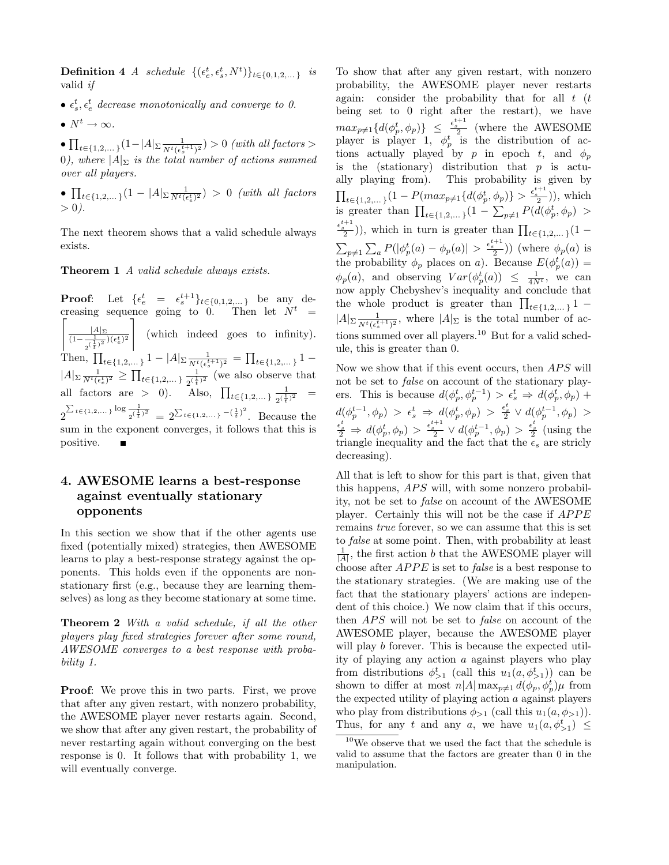**Definition 4** A schedule  $\{(\epsilon_e^t, \epsilon_s^t, N^t)\}_{t \in \{0, 1, 2, ...\}}$  is valid if

- $\epsilon_s^t$ ,  $\epsilon_e^t$  decrease monotonically and converge to 0.
- $N^t \to \infty$ .

•  $\prod_{t \in \{1,2,...\}} (1 - |A| \sum \frac{1}{N^t (\epsilon_s^{t+1})^2}) > 0$  (with all factors > 0), where  $|A|_{\Sigma}$  is the total number of actions summed over all players.

•  $\prod_{t \in \{1,2,...\}} (1 - |A| \sum \frac{1}{N^t (\epsilon_e^t)^2}) > 0$  (with all factors  $> 0$ ).

The next theorem shows that a valid schedule always exists.

**Theorem 1** A valid schedule always exists.

**Proof**: Let  $\{ \epsilon_e^t = \epsilon_s^{t+1} \}_{t \in \{0,1,2,...\}}$  be any de- $\left[\frac{|A|_{\Sigma}}{(1-\frac{1}{2^{(\frac{1}{t})^2}})(\epsilon_e^t)^2}\right]$  (which indeed goes to infinity). creasing sequence going to 0. Then let  $N^t$  = |<br>|<br>| Then,  $\prod_{t \in \{1,2,...\}} 1 - |A| \sum_{\substack{\tau \in \{1,2,...\}} \tau}} = \prod_{t \in \{1,2,...\}} 1 |A|_{\Sigma} \frac{1}{N^t(\epsilon_e^t)^2} \ge \prod_{t \in \{1,2,\dots\}} \frac{1}{2^{(\frac{1}{t})^2}}$  (we also observe that all factors are > 0). Also,  $\prod_{t \in \{1,2,...\}} \frac{1}{2^{(\frac{1}{t})^2}}$  =  $2^{\sum_{t \in \{1,2,...\}} \log \frac{1}{2^{(\frac{1}{t})^2}}}=2^{\sum_{t \in \{1,2,...\}}-(\frac{1}{t})^2}$ . Because the sum in the exponent converges, it follows that this is positive.

# **4. AWESOME learns a best-response against eventually stationary opponents**

In this section we show that if the other agents use fixed (potentially mixed) strategies, then AWESOME learns to play a best-response strategy against the opponents. This holds even if the opponents are nonstationary first (e.g., because they are learning themselves) as long as they become stationary at some time.

**Theorem 2** With a valid schedule, if all the other players play fixed strategies forever after some round, AWESOME converges to a best response with probability 1.

**Proof**: We prove this in two parts. First, we prove that after any given restart, with nonzero probability, the AWESOME player never restarts again. Second, we show that after any given restart, the probability of never restarting again without converging on the best response is 0. It follows that with probability 1, we will eventually converge.

To show that after any given restart, with nonzero probability, the AWESOME player never restarts again: consider the probability that for all  $t$  ( $t$ being set to 0 right after the restart), we have  $max_{p\neq 1} \{d(\phi_p^t, \phi_p)\}\ \leq \ \frac{\epsilon_{s}^{t+1}}{2}$  (where the AWESOME player is player 1,  $\phi_p^t$  is the distribution of actions actually played by p in epoch t, and  $\phi_p$ is the (stationary) distribution that  $p$  is actually playing from). This probability is given by  $\prod_{t \in \{1,2,\ldots\}} (1 - P(max_{p \neq 1}\{d(\phi_p^t, \phi_p)\} > \frac{\epsilon_{\frac{k+1}{2}}^{t+1}}{2})$ , which is greater than  $\prod_{t \in \{1,2,...\}} (1 - \sum_{p \neq 1} P(d(\phi_p^t, \phi_p) >$  $\left(\frac{e^{t+1}}{2}\right)$ , which in turn is greater than  $\prod_{t\in\{1,2,\ldots\}}(1-\right)$  $\sum_{p\neq 1}\sum_{a}P(|\phi_p^t(a)-\phi_p(a)|>\frac{\epsilon_{s}^{t+1}}{2})$  (where  $\phi_p(a)$  is the probability  $\phi_p$  places on a). Because  $E(\phi_p^t(a)) =$  $\phi_p(a)$ , and observing  $Var(\phi_p^t(a)) \leq \frac{1}{4N^t}$ , we can now apply Chebyshev's inequality and conclude that the whole product is greater than  $\prod_{t \in \{1,2,...\}} 1$  –  $|A|_{\Sigma} \frac{1}{N^t(\epsilon_s^{t+1})^2}$ , where  $|A|_{\Sigma}$  is the total number of actions summed over all players.<sup>10</sup> But for a valid schedule, this is greater than 0.

Now we show that if this event occurs, then  $APS$  will not be set to false on account of the stationary players. This is because  $d(\phi_p^t, \phi_p^{t-1}) > \epsilon_s^t \Rightarrow d(\phi_p^t, \phi_p)$  +  $d(\phi_p^{t-1}, \phi_p) > \epsilon_s^t \Rightarrow d(\phi_p^{t}, \phi_p) > \frac{\epsilon_s^t}{2} \vee d(\phi_p^{t-1}, \phi_p) >$  $\frac{\epsilon_s^t}{2} \Rightarrow d(\phi_p^t, \phi_p) > \frac{\epsilon_s^{t+1}}{2} \vee d(\phi_p^{t-1}, \phi_p) > \frac{\epsilon_s^t}{2}$  (using the triangle inequality and the fact that the  $\epsilon_s$  are stricly decreasing).

All that is left to show for this part is that, given that this happens,  $APS$  will, with some nonzero probability, not be set to false on account of the AWESOME player. Certainly this will not be the case if  $APPE$ remains true forever, so we can assume that this is set to false at some point. Then, with probability at least  $\frac{1}{|A|}$ , the first action b that the AWESOME player will choose after  $APPE$  is set to *false* is a best response to the stationary strategies. (We are making use of the fact that the stationary players' actions are independent of this choice.) We now claim that if this occurs, then APS will not be set to *false* on account of the AWESOME player, because the AWESOME player will play b forever. This is because the expected utility of playing any action a against players who play from distributions  $\phi_{>1}^t$  (call this  $u_1(a, \phi_{>1}^t)$ ) can be shown to differ at most  $n|A| \max_{p \neq 1} d(\phi_p, \phi_p^t) \mu$  from the expected utility of playing action  $a$  against players who play from distributions  $\phi_{>1}$  (call this  $u_1(a, \phi_{>1})$ ). Thus, for any t and any a, we have  $u_1(a, \phi_{>1}^t) \leq$ 

 $10$ We observe that we used the fact that the schedule is valid to assume that the factors are greater than 0 in the manipulation.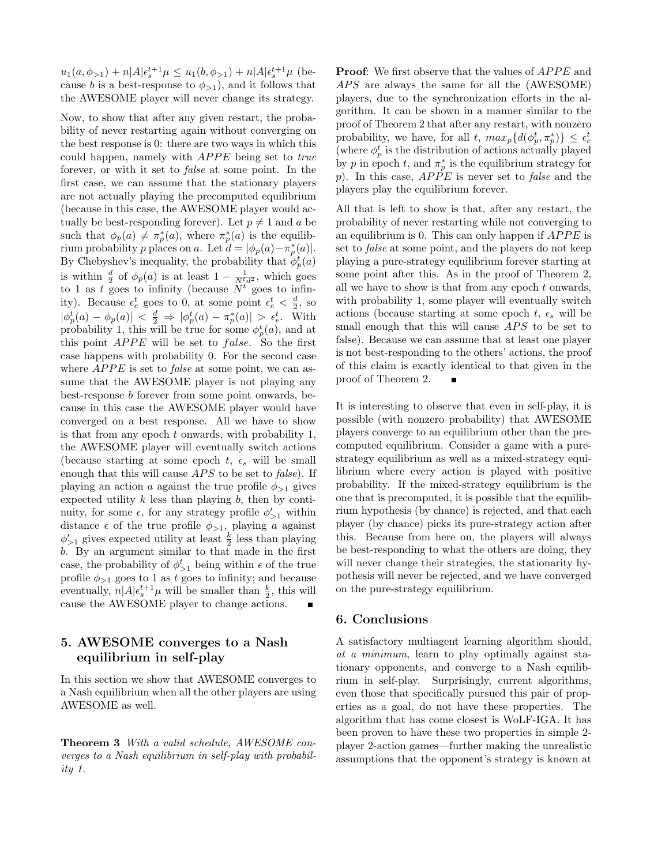$u_1(a, \phi_{>1}) + n|A|\epsilon_s^{t+1}\mu \leq u_1(b, \phi_{>1}) + n|A|\epsilon_s^{t+1}\mu$  (because b is a best-response to  $\phi_{>1}$ , and it follows that the AWESOME player will never change its strategy.

Now, to show that after any given restart, the probability of never restarting again without converging on the best response is 0: there are two ways in which this could happen, namely with  $APPE$  being set to true forever, or with it set to false at some point. In the first case, we can assume that the stationary players are not actually playing the precomputed equilibrium (because in this case, the AWESOME player would actually be best-responding forever). Let  $p \neq 1$  and a be such that  $\phi_p(a) \neq \pi_p^*(a)$ , where  $\pi_p^*(a)$  is the equilibrium probability p places on a. Let  $d = |\phi_p(a) - \pi_p^*(a)|$ . By Chebyshev's inequality, the probability that  $\phi_p^t(a)$ is within  $\frac{d}{2}$  of  $\phi_p(a)$  is at least  $1 - \frac{1}{N^t d^2}$ , which goes to 1 as t goes to infinity (because  $N^{t}$  goes to infinity). Because  $\epsilon_e^t$  goes to 0, at some point  $\epsilon_e^t < \frac{d}{2}$ , so  $|\phi_p^t(a) - \phi_p(a)| < \frac{d}{2} \Rightarrow |\phi_p^t(a) - \pi_p^*(a)| > \epsilon_e^t$ . With probability 1, this will be true for some  $\phi_p^t(a)$ , and at this point  $APPE$  will be set to  $false$ . So the first case happens with probability 0. For the second case where  $APPE$  is set to *false* at some point, we can assume that the AWESOME player is not playing any best-response b forever from some point onwards, because in this case the AWESOME player would have converged on a best response. All we have to show is that from any epoch t onwards, with probability 1, the AWESOME player will eventually switch actions (because starting at some epoch t,  $\epsilon_s$  will be small enough that this will cause  $APS$  to be set to  $false$ ). If playing an action a against the true profile  $\phi_{>1}$  gives expected utility  $k$  less than playing  $b$ , then by continuity, for some  $\epsilon$ , for any strategy profile  $\phi'_{>1}$  within distance  $\epsilon$  of the true profile  $\phi_{>1}$ , playing a against  $\phi_{>1}'$  gives expected utility at least  $\frac{k}{2}$  less than playing b. By an argument similar to that made in the first case, the probability of  $\phi_{>1}^t$  being within  $\epsilon$  of the true profile  $\phi_{>1}$  goes to 1 as t goes to infinity; and because eventually,  $n|A|\epsilon_s^{t+1}\mu$  will be smaller than  $\frac{k}{2}$ , this will cause the AWESOME player to change actions.

# **5. AWESOME converges to a Nash equilibrium in self-play**

In this section we show that AWESOME converges to a Nash equilibrium when all the other players are using AWESOME as well.

**Theorem 3** With a valid schedule, AWESOME converges to a Nash equilibrium in self-play with probability 1.

**Proof:** We first observe that the values of *APPE* and  $APS$  are always the same for all the  $(AWESOME)$ players, due to the synchronization efforts in the algorithm. It can be shown in a manner similar to the proof of Theorem 2 that after any restart, with nonzero probability, we have, for all t,  $max_p\{d(\phi_p^t, \pi_p^*)\} \leq \epsilon_e^t$ (where  $\phi_p^t$  is the distribution of actions actually played by p in epoch t, and  $\pi_p^*$  is the equilibrium strategy for p). In this case,  $APPE$  is never set to false and the players play the equilibrium forever.

All that is left to show is that, after any restart, the probability of never restarting while not converging to an equilibrium is 0. This can only happen if  $APPE$  is set to false at some point, and the players do not keep playing a pure-strategy equilibrium forever starting at some point after this. As in the proof of Theorem 2, all we have to show is that from any epoch  $t$  onwards, with probability 1, some player will eventually switch actions (because starting at some epoch t,  $\epsilon_s$  will be small enough that this will cause  $APS$  to be set to false). Because we can assume that at least one player is not best-responding to the others' actions, the proof of this claim is exactly identical to that given in the proof of Theorem 2.

It is interesting to observe that even in self-play, it is possible (with nonzero probability) that AWESOME players converge to an equilibrium other than the precomputed equilibrium. Consider a game with a purestrategy equilibrium as well as a mixed-strategy equilibrium where every action is played with positive probability. If the mixed-strategy equilibrium is the one that is precomputed, it is possible that the equilibrium hypothesis (by chance) is rejected, and that each player (by chance) picks its pure-strategy action after this. Because from here on, the players will always be best-responding to what the others are doing, they will never change their strategies, the stationarity hypothesis will never be rejected, and we have converged on the pure-strategy equilibrium.

#### **6. Conclusions**

A satisfactory multiagent learning algorithm should, at a minimum, learn to play optimally against stationary opponents, and converge to a Nash equilibrium in self-play. Surprisingly, current algorithms, even those that specifically pursued this pair of properties as a goal, do not have these properties. The algorithm that has come closest is WoLF-IGA. It has been proven to have these two properties in simple 2 player 2-action games—further making the unrealistic assumptions that the opponent's strategy is known at